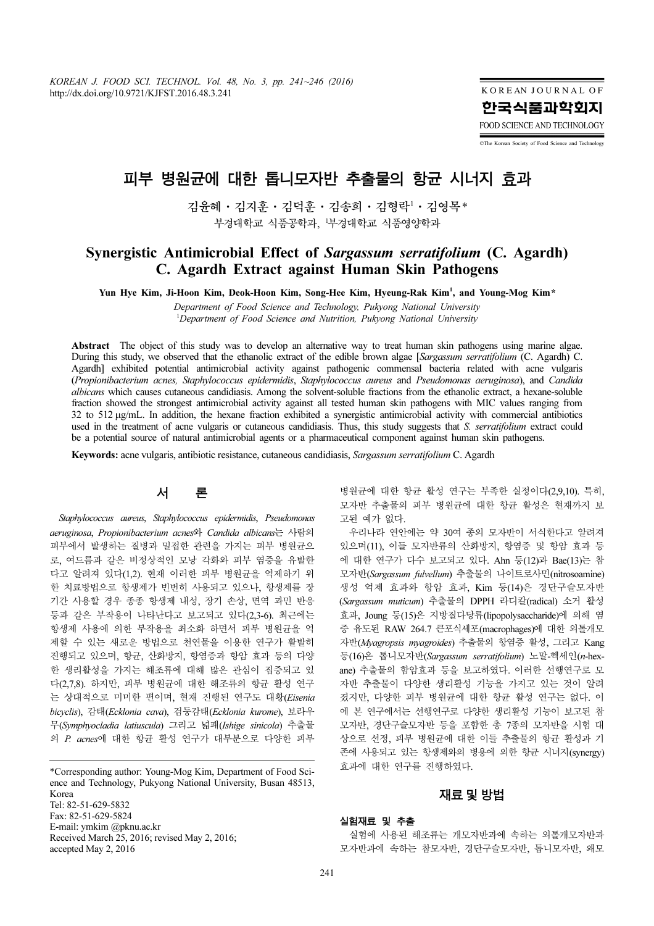KOREAN JOURNAL OF 한국식품과학회지 FOOD SCIENCE AND TECHNOLOGY

©The Korean Society of Food Science and Technology

# 피부 병원균에 대한 톱니모자반 추출물의 항균 시너지 효과

김윤혜·김지훈·김덕훈·김송희·김형락*<sup>1</sup>* ·김영목*\** 부경대학교 식품공학과, *<sup>1</sup>* 부경대학교 식품영양학과

# Synergistic Antimicrobial Effect of Sargassum serratifolium (C. Agardh) C. Agardh Extract against Human Skin Pathogens

Yun Hye Kim, Ji-Hoon Kim, Deok-Hoon Kim, Song-Hee Kim, Hyeung-Rak Kim*<sup>1</sup>* , and Young-Mog Kim\*

Department of Food Science and Technology, Pukyong National University <sup>1</sup>Department of Food Science and Nutrition, Pukyong National University

Abstract The object of this study was to develop an alternative way to treat human skin pathogens using marine algae. During this study, we observed that the ethanolic extract of the edible brown algae [Sargassum serratifolium (C. Agardh) C. Agardh] exhibited potential antimicrobial activity against pathogenic commensal bacteria related with acne vulgaris (Propionibacterium acnes, Staphylococcus epidermidis, Staphylococcus aureus and Pseudomonas aeruginosa), and Candida albicans which causes cutaneous candidiasis. Among the solvent-soluble fractions from the ethanolic extract, a hexane-soluble fraction showed the strongest antimicrobial activity against all tested human skin pathogens with MIC values ranging from 32 to 512 µg/mL. In addition, the hexane fraction exhibited a synergistic antimicrobial activity with commercial antibiotics used in the treatment of acne vulgaris or cutaneous candidiasis. Thus, this study suggests that S. serratifolium extract could be a potential source of natural antimicrobial agents or a pharmaceutical component against human skin pathogens.

Keywords: acne vulgaris, antibiotic resistance, cutaneous candidiasis, Sargassum serratifolium C. Agardh

# 서 론

Staphylococcus aureus, Staphylococcus epidermidis, Pseudomonas aeruginosa, Propionibacterium acnes와 Candida albicans는 사람의 피부에서 발생하는 질병과 밀접한 관련을 가지는 피부 병원균으 로, 여드름과 같은 비정상적인 모낭 각화와 피부 염증을 유발한 다고 알려져 있다(1,2). 현재 이러한 피부 병원균을 억제하기 위 한 치료방법으로 항생제가 빈번히 사용되고 있으나, 항생제를 장 기간 사용할 경우 종종 항생제 내성, 장기 손상, 면역 과민 반응 등과 같은 부작용이 나타난다고 보고되고 있다(2,3-6). 최근에는 항생제 사용에 의한 부작용을 최소화 하면서 피부 병원균을 억 제할 수 있는 새로운 방법으로 천연물을 이용한 연구가 활발히 진행되고 있으며, 항균, 산화방지, 항염증과 항암 효과 등의 다양 한 생리활성을 가지는 해조류에 대해 많은 관심이 집중되고 있 다(2,7,8). 하지만, 피부 병원균에 대한 해조류의 항균 활성 연구 는 상대적으로 미미한 편이며, 현재 진행된 연구도 대황(Eisenia bicyclis), 감태(Ecklonia cava), 검둥감태(Ecklonia kurome), 보라우 무(Symphyocladia latiuscula) 그리고 넓패(Ishige sinicola) 추출물 의 P. acnes에 대한 항균 활성 연구가 대부분으로 다양한 피부

\*Corresponding author: Young-Mog Kim, Department of Food Science and Technology, Pukyong National University, Busan 48513, Korea Tel: 82-51-629-5832 Fax: 82-51-629-5824 E-mail: ymkim @pknu.ac.kr Received March 25, 2016; revised May 2, 2016; accepted May 2, 2016

병원균에 대한 항균 활성 연구는 부족한 실정이다(2,9,10). 특히, 모자반 추출물의 피부 병원균에 대한 항균 활성은 현재까지 보 고된 예가 없다.

우리나라 연안에는 약 30여 종의 모자반이 서식한다고 알려져 있으며(11), 이들 모자반류의 산화방지, 항염증 및 항암 효과 등 에 대한 연구가 다수 보고되고 있다. Ahn 등(12)과 Bae(13)는 참 모자반(Sargassum fulvellum) 추출물의 나이트로사민(nitrosoamine) 생성 억제 효과와 항암 효과, Kim 등(14)은 경단구슬모자반 (Sargassum muticum) 추출물의 DPPH 라디칼(radical) 소거 활성 효과, Joung 등(15)은 지방질다당류(lipopolysaccharide)에 의해 염 증 유도된 RAW 264.7 큰포식세포(macrophages)에 대한 외톨개모 자반(Myagropsis myagroides) 추출물의 항염증 활성, 그리고 Kang 등(16)은 톱니모자반(Sargassum serratifolium) 노말-헥세인(n-hexane) 추출물의 함암효과 등을 보고하였다. 이러한 선행연구로 모 자반 추출물이 다양한 생리활성 기능을 가지고 있는 것이 알려 졌지만, 다양한 피부 병원균에 대한 항균 활성 연구는 없다. 이 에 본 연구에서는 선행연구로 다양한 생리활성 기능이 보고된 참 모자반, 경단구슬모자반 등을 포함한 총 7종의 모자반을 시험 대 상으로 선정, 피부 병원균에 대한 이들 추출물의 항균 활성과 기 존에 사용되고 있는 항생제와의 병용에 의한 항균 시너지(synergy) 효과에 대한 연구를 진행하였다.

### 재료및방법

#### 실험재료 및 추출

실험에 사용된 해조류는 개모자반과에 속하는 외톨개모자반과 모자반과에 속하는 참모자반, 경단구슬모자반, 톱니모자반, 왜모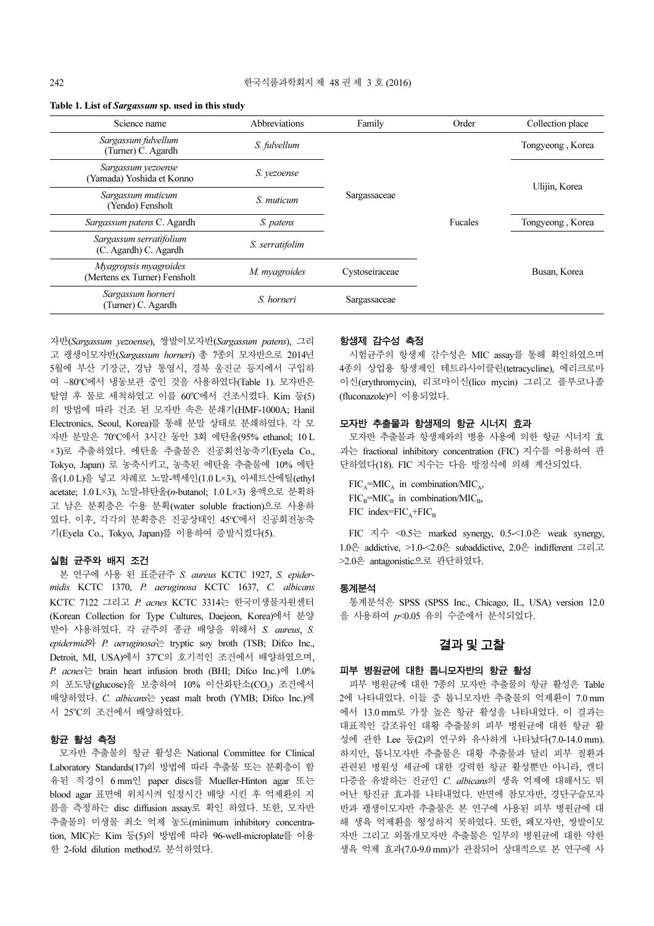| Science name                                          | Abbreviations<br>Family |                | Order   | Collection place |  |
|-------------------------------------------------------|-------------------------|----------------|---------|------------------|--|
| Sargassum fulvellum<br>(Turner) C. Agardh             | S. fulvellum            |                |         | Tongyeong, Korea |  |
| Sargassum yezoense<br>(Yamada) Yoshida et Konno       | S. vezoense             |                |         | Ulijin, Korea    |  |
| Sargassum muticum<br>(Yendo) Fensholt                 | S. muticum              | Sargassaceae   |         |                  |  |
| Sargassum patens C. Agardh                            | S. patens               |                | Fucales | Tongyeong, Korea |  |
| Sargassum serratifolium<br>(C. Agardh) C. Agardh      | S. serratifolim         |                |         |                  |  |
| Myagropsis myagroides<br>(Mertens ex Turner) Fensholt | M. myagroides           | Cystoseiraceae |         | Busan, Korea     |  |
| Sargassum horneri<br>(Turner) C. Agardh               | S. horneri              | Sargassaceae   |         |                  |  |

#### Table 1. List of Sargassum sp. used in this study

자반(Sargassum yezoense), 쌍발이모자반(Sargassum patens), 그리 고 괭생이모자반(Sargassum horneri) 총 7종의 모자반으로 2014년 5월에 부산 기장군, 경남 통영시, 경북 울진군 등지에서 구입하 여 -80℃에서 냉동보관 중인 것을 사용하였다(Table 1). 모자반은 탈염 후 물로 세척하였고 이를 60°C에서 건조시켰다. Kim 등(5) 의 방법에 따라 건조 된 모자반 속은 분쇄기(HMF-1000A; Hanil Electronics, Seoul, Korea)를 통해 분말 상태로 분쇄하였다. 각 모 자반 분말은 70°C에서 3시간 동안 3회 에탄올(95% ethanol; 10 L ×3)로 추출하였다. 에탄올 추출물은 진공회전농축기(Eyela Co., Tokyo, Japan) 로 농축시키고, 농축된 에탄올 추출물에 10% 에탄 올(1.0 L)을 넣고 차례로 노말-헥세인(1.0 L×3), 아세트산에틸(ethyl acetate; 1.0 L×3), 노말-뷰탄올(n-butanol; 1.0 L×3) 용액으로 분획하 고 남은 분획층은 수용 분획(water soluble fraction)으로 사용하 였다. 이후, 각각의 분획층은 진공상태인 45<sup>o</sup> C에서 진공회전농축 기(Eyela Co., Tokyo, Japan)를 이용하여 증발시켰다(5).

#### 실험 균주와 배지 조건

본 연구에 사용 된 표준균주 S. aureus KCTC 1927, S. epidermidis KCTC 1370, P. aeruginosa KCTC 1637, C. albicans KCTC 7122 그리고 P. acnes KCTC 3314는 한국미생물자원센터 (Korean Collection for Type Cultures, Daejeon, Korea)에서 분양 받아 사용하였다. 각 균주의 종균 배양을 위해서 S. aureus, S. epidermid와 P. aeruginosa는 tryptic soy broth (TSB; Difco Inc., Detroit, MI, USA)에서 37°C의 호기적인 조건에서 배양하였으며, P. acnes 는 brain heart infusion broth (BHI; Difco Inc.)에  $1.0\%$ 의 포도당(glucose)을 보충하여 10% 이산화탄소(CO2) 조건에서 배양하였다. C. albicans는 yeast malt broth (YMB; Difco Inc.)에 서 25°C의 조건에서 배양하였다.

#### 항균 활성 측정

모자반 추출물의 항균 활성은 National Committee for Clinical Laboratory Standards(17)의 방법에 따라 추출물 또는 분획층이 함 유된 직경이 6 mm인 paper discs를 Mueller-Hinton agar 또는 blood agar 표면에 위치시켜 일정시간 배양 시킨 후 억제환의 지 름을 측정하는 disc diffusion assay로 확인 하였다. 또한, 모자반 추출물의 미생물 최소 억제 농도(minimum inhibitory concentration, MIC)는 Kim 등(5)의 방법에 따라 96-well-microplate를 이용 한 2-fold dilution method로 분석하였다.

#### 항생제 감수성 측정

시험균주의 항생제 감수성은 MIC assay를 통해 확인하였으며 4종의 상업용 항생제인 테트라사이클린(tetracycline), 에리크로마 이신(erythromycin), 리코마이신(lico mycin) 그리고 플루코나졸 (fluconazole)이 이용되었다.

#### 모자반 추출물과 항생제의 항균 시너지 효과

모자반 추출물과 항생제와의 병용 사용에 의한 항균 시너지 효 과는 fractional inhibitory concentration (FIC) 지수를 이용하여 판 단하였다(18). FIC 지수는 다음 방정식에 의해 계산되었다.

 $FIC<sub>A</sub>=MIC<sub>A</sub>$  in combination/MIC<sub>A</sub>,  $FIC<sub>B</sub>=MIC<sub>B</sub>$  in combination/MIC<sub>B</sub>,  $FIC$  index= $FIC_A + FIC_B$ 

FIC 지수 <0.5는 marked synergy, 0.5-<1.0은 weak synergy, 1.0은 addictive, >1.0-<2.0은 subaddictive, 2.0은 indifferent 그리고 >2.0은 antagonistic으로 판단하였다.

#### 통계분석

통계분석은 SPSS (SPSS Inc., Chicago, IL, USA) version 12.0 을 사용하여 p<0.05 유의 수준에서 분석되었다.

# 결과및고찰

#### 피부 병원균에 대한 톱니모자반의 항균 활성

피부 병원균에 대한 7종의 모자반 추출물의 항균 활성은 Table 2에 나타내었다. 이들 중 톱니모자반 추출물의 억제환이 7.0 mm 에서 13.0 mm로 가장 높은 항균 활성을 나타내었다. 이 결과는 대표적인 갈조류인 대황 추출물의 피부 병원균에 대한 항균 활 성에 관한 Lee 등(2)의 연구와 유사하게 나타났다(7.0-14.0 mm). 하지만, 톱니모자반 추출물은 대황 추출물과 달리 피부 질환과 관련된 병원성 세균에 대한 강력한 항균 활성뿐만 아니라, 캔디 다증을 유발하는 진균인 C. albicans의 생육 억제에 대해서도 뛰 어난 항진균 효과를 나타내었다. 반면에 참모자반, 경단구슬모자 반과 괭생이모자반 추출물은 본 연구에 사용된 피부 병원균에 대 해 생육 억제환을 형성하지 못하였다. 또한, 왜모자반, 쌍발이모 자반 그리고 외톨개모자반 추출물은 일부의 병원균에 대한 약한 생육 억제 효과(7.0-9.0 mm)가 관찰되어 상대적으로 본 연구에 사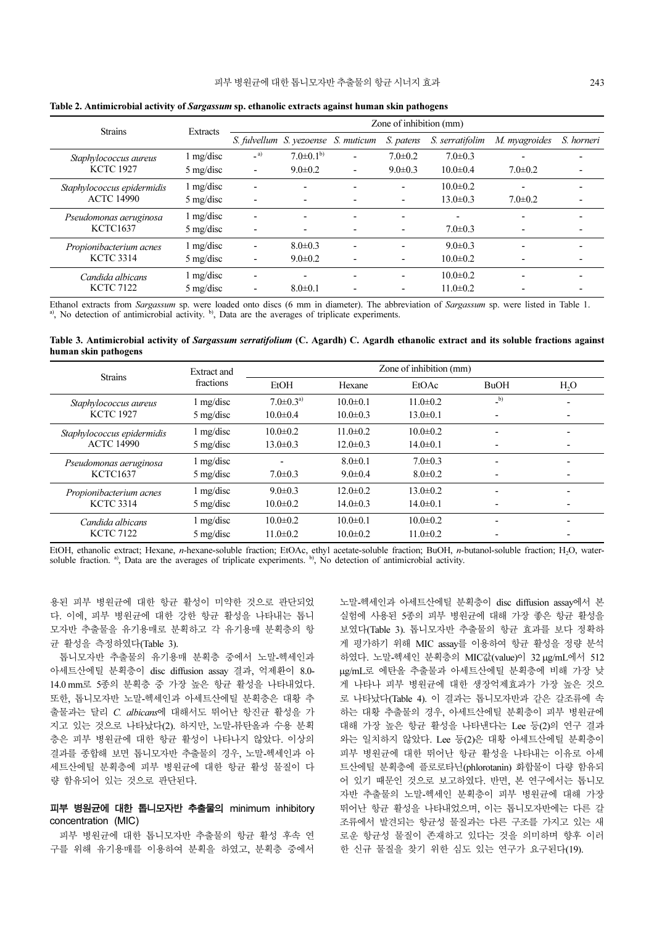| <b>Strains</b>                                  |                     | Zone of inhibition (mm)  |                                     |                          |               |                          |               |            |
|-------------------------------------------------|---------------------|--------------------------|-------------------------------------|--------------------------|---------------|--------------------------|---------------|------------|
|                                                 | Extracts            |                          | S. fulvellum S. yezoense S. muticum |                          | S. patens     | S. serratifolim          | M. myagroides | S. horneri |
| Staphylococcus aureus                           | $1 \text{ mg/disc}$ | (a)                      | $7.0\pm0.1^{b}$                     |                          | $7.0 \pm 0.2$ | $7.0 \pm 0.3$            |               |            |
| <b>KCTC 1927</b>                                | $5 \text{ mg/disc}$ | ۰                        | $9.0 \pm 0.2$                       | ۰                        | $9.0 \pm 0.3$ | $10.0 \pm 0.4$           | $7.0 \pm 0.2$ |            |
| Staphylococcus epidermidis<br><b>ACTC 14990</b> | $1 \text{ mg/disc}$ |                          |                                     |                          |               | $10.0 \pm 0.2$           |               |            |
|                                                 | $5 \text{ mg/disc}$ |                          |                                     |                          |               | $13.0 \pm 0.3$           | $7.0 \pm 0.2$ |            |
| Pseudomonas aeruginosa<br><b>KCTC1637</b>       | $1 \text{ mg/disc}$ | $\overline{\phantom{0}}$ | $\overline{\phantom{0}}$            | $\overline{\phantom{0}}$ |               | $\overline{\phantom{a}}$ |               |            |
|                                                 | $5 \text{ mg/disc}$ |                          | $\overline{\phantom{0}}$            |                          |               | $7.0 \pm 0.3$            |               |            |
| Propionibacterium acnes<br><b>KCTC 3314</b>     | $1 \text{ mg/disc}$ |                          | $8.0 \pm 0.3$                       |                          |               | $9.0 \pm 0.3$            |               |            |
|                                                 | $5 \text{ mg/disc}$ |                          | $9.0 \pm 0.2$                       |                          |               | $10.0 \pm 0.2$           |               |            |
| Candida albicans<br><b>KCTC 7122</b>            | $1 \text{ mg/disc}$ |                          | $\overline{\phantom{0}}$            | $\overline{\phantom{0}}$ |               | $10.0 \pm 0.2$           |               |            |
|                                                 | $5 \text{ mg/disc}$ |                          | $8.0 \pm 0.1$                       |                          |               | $11.0 \pm 0.2$           |               |            |

Table 2. Antimicrobial activity of Sargassum sp. ethanolic extracts against human skin pathogens

Ethanol extracts from Sargassum sp. were loaded onto discs (6 mm in diameter). The abbreviation of Sargassum sp. were listed in Table 1. a), No detection of antimicrobial activity. <sup>b</sup>), Data are the averages of triplicate experiments.

Table 3. Antimicrobial activity of Sargassum serratifolium (C. Agardh) C. Agardh ethanolic extract and its soluble fractions against human skin pathogens

| <b>Strains</b>                                  | <b>Extract and</b>  | Zone of inhibition (mm) |                |                |                          |                  |  |  |  |
|-------------------------------------------------|---------------------|-------------------------|----------------|----------------|--------------------------|------------------|--|--|--|
|                                                 | fractions           | EtOH                    | Hexane         | EtOAc          | <b>BuOH</b>              | H <sub>2</sub> O |  |  |  |
| Staphylococcus aureus                           | 1 mg/disc           | $7.0 \pm 0.3^{a}$       | $10.0 \pm 0.1$ | $11.0 \pm 0.2$ | $_b)$                    |                  |  |  |  |
| <b>KCTC 1927</b>                                | $5 \text{ mg/disc}$ | $10.0 \pm 0.4$          | $10.0 \pm 0.3$ | $13.0 \pm 0.1$ | $\overline{\phantom{0}}$ |                  |  |  |  |
| Staphylococcus epidermidis<br><b>ACTC 14990</b> | $1 \text{ mg/disc}$ | $10.0 \pm 0.2$          | $11.0 \pm 0.2$ | $10.0 \pm 0.2$ | $\overline{\phantom{0}}$ |                  |  |  |  |
|                                                 | $5 \text{ mg/disc}$ | $13.0 \pm 0.3$          | $12.0 \pm 0.3$ | $14.0 \pm 0.1$ |                          |                  |  |  |  |
| Pseudomonas aeruginosa<br><b>KCTC1637</b>       | 1 mg/disc           |                         | $8.0 \pm 0.1$  | $7.0 \pm 0.3$  | $\overline{\phantom{0}}$ |                  |  |  |  |
|                                                 | $5 \text{ mg/disc}$ | $7.0 \pm 0.3$           | $9.0 \pm 0.4$  | $8.0 \pm 0.2$  | $\overline{\phantom{0}}$ |                  |  |  |  |
| Propionibacterium acnes<br><b>KCTC 3314</b>     | 1 mg/disc           | $9.0 \pm 0.3$           | $12.0 \pm 0.2$ | $13.0 \pm 0.2$ | $\overline{\phantom{0}}$ |                  |  |  |  |
|                                                 | $5 \text{ mg/disc}$ | $10.0 \pm 0.2$          | $14.0 \pm 0.3$ | $14.0 \pm 0.1$ |                          |                  |  |  |  |
| Candida albicans<br><b>KCTC 7122</b>            | 1 mg/disc           | $10.0 \pm 0.2$          | $10.0 \pm 0.1$ | $10.0 \pm 0.2$ | $\overline{\phantom{0}}$ |                  |  |  |  |
|                                                 | $5 \text{ mg/disc}$ | $11.0 \pm 0.2$          | $10.0 \pm 0.2$ | $11.0 \pm 0.2$ |                          |                  |  |  |  |

EtOH, ethanolic extract; Hexane, *n*-hexane-soluble fraction; EtOAc, ethyl acetate-soluble fraction; BuOH, *n*-butanol-soluble fraction; H<sub>2</sub>O, water-<br>soluble fraction.<sup>a</sup>), Data are the averages of triplicate experiments.

용된 피부 병원균에 대한 항균 활성이 미약한 것으로 판단되었 다. 이에, 피부 병원균에 대한 강한 항균 활성을 나타내는 톱니 모자반 추출물을 유기용매로 분획하고 각 유기용매 분획층의 항 균 활성을 측정하였다(Table 3).

톱니모자반 추출물의 유기용매 분획층 중에서 노말-헥세인과 아세트산에틸 분획층이 disc diffusion assay 결과, 억제환이 8.0- 14.0 mm로 5종의 분획층 중 가장 높은 항균 활성을 나타내었다. 또한, 톱니모자반 노말-헥세인과 아세트산에틸 분획층은 대황 추 출물과는 달리 C. albicans에 대해서도 뛰어난 항진균 활성을 가 지고 있는 것으로 나타났다(2). 하지만, 노말-뷰탄올과 수용 분획 층은 피부 병원균에 대한 항균 활성이 나타나지 않았다. 이상의 결과를 종합해 보면 톱니모자반 추출물의 경우, 노말-헥세인과 아 세트산에틸 분획층에 피부 병원균에 대한 항균 활성 물질이 다 량 함유되어 있는 것으로 판단된다.

### 피부 병원균에 대한 톱니모자반 추출물의 minimum inhibitory concentration (MIC)

피부 병원균에 대한 톱니모자반 추출물의 항균 활성 후속 연 구를 위해 유기용매를 이용하여 분획을 하였고, 분획층 중에서 노말-헥세인과 아세트산에틸 분획층이 disc diffusion assay에서 본 실험에 사용된 5종의 피부 병원균에 대해 가장 좋은 항균 활성을 보였다(Table 3). 톱니모자반 추출물의 항균 효과를 보다 정확하 게 평가하기 위해 MIC assay를 이용하여 항균 활성을 정량 분석 하였다. 노말-헥세인 분획층의 MIC값(value)이 32 µg/mL에서 512 µg/mL로 에탄올 추출물과 아세트산에틸 분획층에 비해 가장 낮 게 나타나 피부 병원균에 대한 생장억제효과가 가장 높은 것으 로 나타났다(Table 4). 이 결과는 톱니모자반과 같은 갈조류에 속 하는 대황 추출물의 경우, 아세트산에틸 분획층이 피부 병원균에 대해 가장 높은 항균 활성을 나타낸다는 Lee 등(2)의 연구 결과 와는 일치하지 않았다. Lee 등(2)은 대황 아세트산에틸 분획층이 피부 병원균에 대한 뛰어난 항균 활성을 나타내는 이유로 아세 트산에틸 분획층에 플로로타닌(phlorotanin) 화합물이 다량 함유되 어 있기 때문인 것으로 보고하였다. 반면, 본 연구에서는 톱니모 자반 추출물의 노말-헥세인 분획층이 피부 병원균에 대해 가장 뛰어난 항균 활성을 나타내었으며, 이는 톱니모자반에는 다른 갈 조류에서 발견되는 항균성 물질과는 다른 구조를 가지고 있는 새 로운 항균성 물질이 존재하고 있다는 것을 의미하며 향후 이러 한 신규 물질을 찾기 위한 심도 있는 연구가 요구된다(19).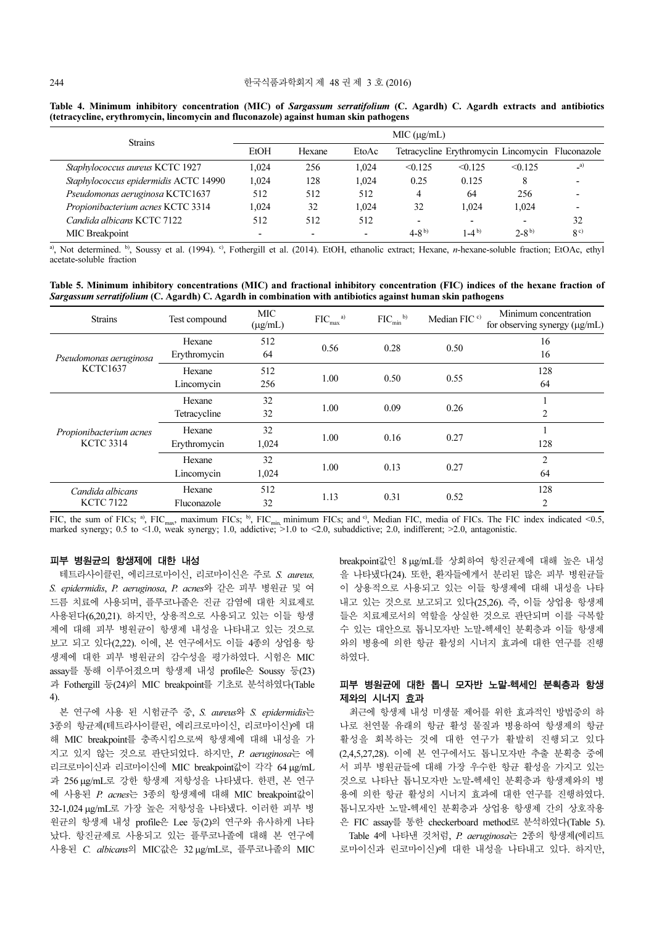| <b>Strains</b>                        | MIC (µg/mL)              |                          |                          |                          |           |                                                  |                |  |
|---------------------------------------|--------------------------|--------------------------|--------------------------|--------------------------|-----------|--------------------------------------------------|----------------|--|
|                                       | EtOH                     | Hexane                   | EtoAc                    |                          |           | Tetracycline Erythromycin Lincomycin Fluconazole |                |  |
| Staphylococcus aureus KCTC 1927       | 1.024                    | 256                      | 1.024                    | < 0.125                  | < 0.125   | $\leq 0.125$                                     | $\alpha$       |  |
| Staphylococcus epidermidis ACTC 14990 | 1.024                    | 128                      | 1.024                    | 0.25                     | 0.125     | 8                                                |                |  |
| Pseudomonas aeruginosa KCTC1637       | 512                      | 512                      | 512                      | 4                        | 64        | 256                                              |                |  |
| Propionibacterium acnes KCTC 3314     | 1.024                    | 32                       | 1.024                    | 32                       | 1.024     | 1.024                                            |                |  |
| Candida albicans KCTC 7122            | 512                      | 512                      | 512                      | $\overline{\phantom{0}}$ |           |                                                  | 32             |  |
| MIC Breakpoint                        | $\overline{\phantom{0}}$ | $\overline{\phantom{0}}$ | $\overline{\phantom{0}}$ | $4-8^{b}$                | $1-4^{b}$ | $2 - 8^{b}$                                      | 8 <sup>c</sup> |  |

Table 4. Minimum inhibitory concentration (MIC) of Sargassum serratifolium (C. Agardh) C. Agardh extracts and antibiotics (tetracycline, erythromycin, lincomycin and fluconazole) against human skin pathogens

a), Not determined. b), Soussy et al. (1994). c), Fothergill et al. (2014). EtOH, ethanolic extract; Hexane, n-hexane-soluble fraction; EtOAc, ethyl acetate-soluble fraction

Table 5. Minimum inhibitory concentrations (MIC) and fractional inhibitory concentration (FIC) indices of the hexane fraction of Sargassum serratifolium (C. Agardh) C. Agardh in combination with antibiotics against human skin pathogens

| <b>Strains</b>                              | Test compound | MIC<br>$(\mu g/mL)$ | $FIC_{max}$ <sup>a)</sup> | $\mathrm{FIC}_{\mathrm{min}}$ <sup>b)</sup> | Median FIC <sup>c)</sup> | Minimum concentration<br>for observing synergy (µg/mL) |
|---------------------------------------------|---------------|---------------------|---------------------------|---------------------------------------------|--------------------------|--------------------------------------------------------|
| Pseudomonas aeruginosa<br><b>KCTC1637</b>   | Hexane        | 512                 | 0.56                      | 0.28                                        | 0.50                     | 16                                                     |
|                                             | Erythromycin  | 64                  |                           |                                             |                          | 16                                                     |
|                                             | Hexane        | 512                 |                           | 0.50                                        | 0.55                     | 128                                                    |
|                                             | Lincomycin    | 256                 | 1.00                      |                                             |                          | 64                                                     |
| Propionibacterium acnes<br><b>KCTC 3314</b> | Hexane        | 32                  | 1.00                      |                                             | 0.26                     |                                                        |
|                                             | Tetracycline  | 32                  |                           | 0.09                                        |                          | 2                                                      |
|                                             | Hexane        | 32                  | 1.00<br>0.16              |                                             | 0.27                     |                                                        |
|                                             | Erythromycin  | 1,024               |                           |                                             | 128                      |                                                        |
|                                             | Hexane        | 32                  |                           | 0.13                                        | 0.27                     | $\overline{c}$                                         |
|                                             | Lincomycin    | 1,024               | 1.00                      |                                             |                          | 64                                                     |
| Candida albicans<br><b>KCTC 7122</b>        | Hexane        | 512                 |                           | 0.31                                        | 0.52                     | 128                                                    |
|                                             | Fluconazole   | 32                  | 1.13                      |                                             |                          | 2                                                      |

FIC, the sum of FICs; <sup>a)</sup>, FIC<sub>max</sub>, maximum FICs; <sup>b)</sup>, FIC<sub>min,</sub> minimum FICs; and <sup>c)</sup>, Median FIC, media of FICs. The FIC index indicated <0.5, marked synergy; 0.5 to <1.0, weak synergy; 1.0, addictive;  $>1.0$  to <2.0, subaddictive; 2.0, indifferent;  $>2.0$ , antagonistic.

#### 피부 병원균의 항생제에 대한 내성

테트라사이클린, 에리크로마이신, 리코마이신은 주로 S. aureus, S. epidermidis, P. aeruginosa, P. acnes와 같은 피부 병원균 및 여 드름 치료에 사용되며, 플루코나졸은 진균 감염에 대한 치료제로 사용된다(6,20,21). 하지만, 상용적으로 사용되고 있는 이들 항생 제에 대해 피부 병원균이 항생제 내성을 나타내고 있는 것으로 보고 되고 있다(2,22). 이에, 본 연구에서도 이들 4종의 상업용 항 생제에 대한 피부 병원균의 감수성을 평가하였다. 시험은 MIC assay를 통해 이루어졌으며 항생제 내성 profile은 Soussy 등(23) 과 Fothergill 등(24)의 MIC breakpoint를 기초로 분석하였다(Table 4).

본 연구에 사용 된 시험균주 중, S. aureus와 S. epidermidis는 3종의 항균제(테트라사이클린, 에리크로마이신, 리코마이신)에 대 해 MIC breakpoint를 충족시킴으로써 항생제에 대해 내성을 가 지고 있지 않는 것으로 판단되었다. 하지만, P. aeruginosa는 에 리크로마이신과 리코마이신에 MIC breakpoint값이 각각 64 µg/mL 과 256 µg/mL로 강한 항생제 저항성을 나타냈다. 한편, 본 연구 에 사용된 P. acnes는 3종의 항생제에 대해 MIC breakpoint값이 32-1,024 µg/mL로 가장 높은 저항성을 나타냈다. 이러한 피부 병 원균의 항생제 내성 profile은 Lee 등(2)의 연구와 유사하게 나타 났다. 항진균제로 사용되고 있는 플루코나졸에 대해 본 연구에 사용된 C. albicans의 MIC값은 32 µg/mL로, 플루코나졸의 MIC breakpoint값인 8 µg/mL를 상회하여 항진균제에 대해 높은 내성 을 나타냈다(24). 또한, 환자들에게서 분리된 많은 피부 병원균들 이 상용적으로 사용되고 있는 이들 항생제에 대해 내성을 나타 내고 있는 것으로 보고되고 있다(25,26). 즉, 이들 상업용 항생제 들은 치료제로서의 역할을 상실한 것으로 판단되며 이를 극복할 수 있는 대안으로 톱니모자반 노말-헥세인 분획층과 이들 항생제 와의 병용에 의한 항균 활성의 시너지 효과에 대한 연구를 진행 하였다.

### 피부 병원균에 대한 톱니 모자반 노말-헥세인 분획층과 항생 제와의 시너지 효과

최근에 항생제 내성 미생물 제어를 위한 효과적인 방법중의 하 나로 천연물 유래의 항균 활성 물질과 병용하여 항생제의 항균 활성을 회복하는 것에 대한 연구가 활발히 진행되고 있다 (2,4,5,27,28). 이에 본 연구에서도 톱니모자반 추출 분획층 중에 서 피부 병원균들에 대해 가장 우수한 항균 활성을 가지고 있는 것으로 나타난 톱니모자반 노말-헥세인 분획층과 항생제와의 병 용에 의한 항균 활성의 시너지 효과에 대한 연구를 진행하였다. 톱니모자반 노말-헥세인 분획층과 상업용 항생제 간의 상호작용 은 FIC assay를 통한 checkerboard method로 분석하였다(Table 5).

Table 4에 나타낸 것처럼, P. aeruginosa는 2종의 항생제(에리트 로마이신과 린코마이신)에 대한 내성을 나타내고 있다. 하지만,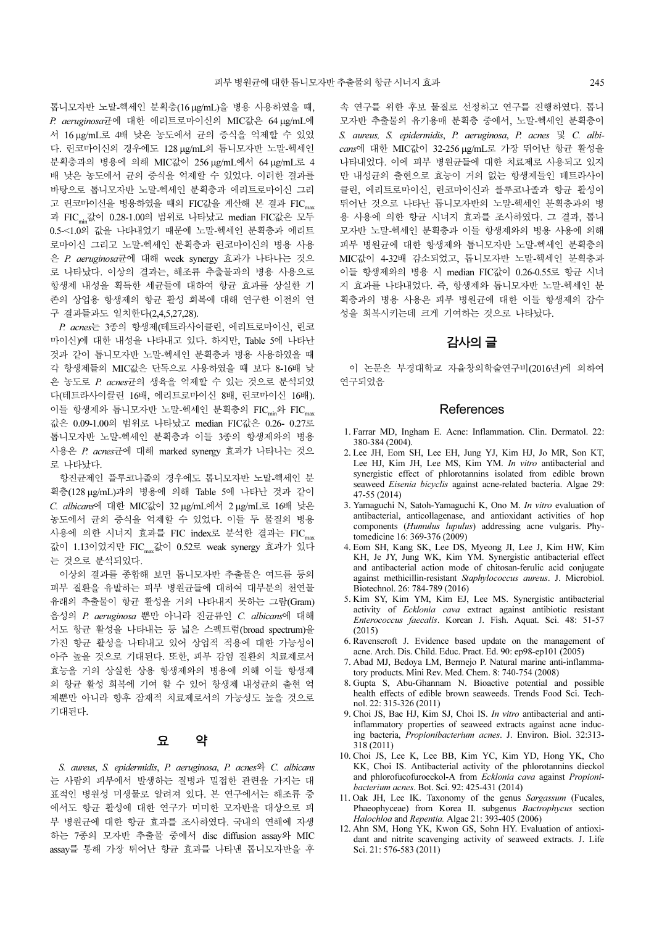톱니모자반 노말-헥세인 분획층(16 µg/mL)을 병용 사용하였을 때, P. aeruginosa균에 대한 에리트로마이신의 MIC값은 64 µg/mL에 서 16 µg/mL로 4배 낮은 농도에서 균의 증식을 억제할 수 있었 다. 린코마이신의 경우에도 128 µg/mL의 톱니모자반 노말-헥세인 분획층과의 병용에 의해 MIC값이 256 µg/mL에서 64 µg/mL로 4 배 낮은 농도에서 균의 증식을 억제할 수 있었다. 이러한 결과를 바탕으로 톱니모자반 노말-헥세인 분획층과 에리트로마이신 그리 고 린코마이신을 병용하였을 때의 FIC값을 계산해 본 결과 FIC 과 FICmin값이 0.28-1.00의 범위로 나타났고 median FIC값은 모두 0.5-<1.0의 값을 나타내었기 때문에 노말-헥세인 분획층과 에리트 로마이신 그리고 노말-헥세인 분획층과 린코마이신의 병용 사용 은 P. aeruginosa균에 대해 week synergy 효과가 나타나는 것으 로 나타났다. 이상의 결과는, 해조류 추출물과의 병용 사용으로 항생제 내성을 획득한 세균들에 대하여 항균 효과를 상실한 기 존의 상업용 항생제의 항균 활성 회복에 대해 연구한 이전의 연 구 결과들과도 일치한다(2,4,5,27,28).

P. acnes는 3종의 항생제(테트라사이클린, 에리트로마이신, 린코 마이신)에 대한 내성을 나타내고 있다. 하지만, Table 5에 나타난 것과 같이 톱니모자반 노말-헥세인 분획층과 병용 사용하였을 때 각 항생제들의 MIC값은 단독으로 사용하였을 때 보다 8-16배 낮 은 농도로 P. acnes균의 생육을 억제할 수 있는 것으로 분석되었 다(테트라사이클린 16배, 에리트로마이신 8배, 린코마이신 16배). 이들 항생제와 톱니모자반 노말-헥세인 분획층의 FIC<sub>min</sub>와 FIC<sub>max</sub> 값은 0.09-1.00의 범위로 나타났고 median FIC값은 0.26- 0.27로 톱니모자반 노말-헥세인 분획층과 이들 3종의 항생제와의 병용 사용은 P. acnes균에 대해 marked synergy 효과가 나타나는 것으 로 나타났다.

항진균제인 플루코나졸의 경우에도 톱니모자반 노말-헥세인 분 획층(128 µg/mL)과의 병용에 의해 Table 5에 나타난 것과 같이 C. albicans에 대한 MIC값이 32 µg/mL에서 2 µg/mL로 16배 낮은 농도에서 균의 증식을 억제할 수 있었다. 이들 두 물질의 병용 사용에 의한 시너지 효과를 FIC index로 분석한 결과는 FIC 값이 1.13이었지만 FICmax값이 0.52로 weak synergy 효과가 있다 는 것으로 분석되었다.

이상의 결과를 종합해 보면 톱니모자반 추출물은 여드름 등의 피부 질환을 유발하는 피부 병원균들에 대하여 대부분의 천연물 유래의 추출물이 항균 활성을 거의 나타내지 못하는 그람(Gram) 음성의 P. aeruginosa 뿐만 아니라 진균류인 C. albicans에 대해 서도 항균 활성을 나타내는 등 넓은 스펙트럼(broad spectrum)을 가진 항균 활성을 나타내고 있어 상업적 적용에 대한 가능성이 아주 높을 것으로 기대된다. 또한, 피부 감염 질환의 치료제로서 효능을 거의 상실한 상용 항생제와의 병용에 의해 이들 항생제 의 항균 활성 회복에 기여 할 수 있어 항생제 내성균의 출현 억 제뿐만 아니라 향후 잠재적 치료제로서의 가능성도 높을 것으로 기대된다.

## 요 약

S. aureus, S. epidermidis, P. aeruginosa, P. acnes<sup>2</sup> C. albicans 는 사람의 피부에서 발생하는 질병과 밀접한 관련을 가지는 대 표적인 병원성 미생물로 알려져 있다. 본 연구에서는 해조류 중 에서도 항균 활성에 대한 연구가 미미한 모자반을 대상으로 피 부 병원균에 대한 항균 효과를 조사하였다. 국내의 연해에 자생 하는 7종의 모자반 추출물 중에서 disc diffusion assay와 MIC assay를 통해 가장 뛰어난 항균 효과를 나타낸 톱니모자반을 후

속 연구를 위한 후보 물질로 선정하고 연구를 진행하였다. 톱니 모자반 추출물의 유기용매 분획층 중에서, 노말-헥세인 분획층이 S. aureus, S. epidermidis, P. aeruginosa, P. acnes 및 C. albicans에 대한 MIC값이 32-256 µg/mL로 가장 뛰어난 항균 활성을 나타내었다. 이에 피부 병원균들에 대한 치료제로 사용되고 있지 만 내성균의 출현으로 효능이 거의 없는 항생제들인 테트라사이 클린, 에리트로마이신, 린코마이신과 플루코나졸과 항균 활성이 뛰어난 것으로 나타난 톱니모자반의 노말-헥세인 분획층과의 병 용 사용에 의한 항균 시너지 효과를 조사하였다. 그 결과, 톱니 모자반 노말-헥세인 분획층과 이들 항생제와의 병용 사용에 의해 피부 병원균에 대한 항생제와 톱니모자반 노말-헥세인 분획층의 MIC값이 4-32배 감소되었고, 톱니모자반 노말-헥세인 분획층과 이들 항생제와의 병용 시 median FIC값이 0.26-0.55로 항균 시너 지 효과를 나타내었다. 즉, 항생제와 톱니모자반 노말-헥세인 분 획층과의 병용 사용은 피부 병원균에 대한 이들 항생제의 감수 성을 회복시키는데 크게 기여하는 것으로 나타났다.

# 감사의글

이 논문은 부경대학교 자율창의학술연구비(2016년)에 의하여 연구되었음

#### **References**

- 1. Farrar MD, Ingham E. Acne: Inflammation. Clin. Dermatol. 22: 380-384 (2004).
- 2. Lee JH, Eom SH, Lee EH, Jung YJ, Kim HJ, Jo MR, Son KT, Lee HJ, Kim JH, Lee MS, Kim YM. In vitro antibacterial and synergistic effect of phlorotannins isolated from edible brown seaweed Eisenia bicyclis against acne-related bacteria. Algae 29: 47-55 (2014)
- 3. Yamaguchi N, Satoh-Yamaguchi K, Ono M. In vitro evaluation of antibacterial, anticollagenase, and antioxidant activities of hop components (Humulus lupulus) addressing acne vulgaris. Phytomedicine 16: 369-376 (2009)
- 4. Eom SH, Kang SK, Lee DS, Myeong JI, Lee J, Kim HW, Kim KH, Je JY, Jung WK, Kim YM. Synergistic antibacterial effect and antibacterial action mode of chitosan-ferulic acid conjugate against methicillin-resistant Staphylococcus aureus. J. Microbiol. Biotechnol. 26: 784-789 (2016)
- 5. Kim SY, Kim YM, Kim EJ, Lee MS. Synergistic antibacterial activity of Ecklonia cava extract against antibiotic resistant Enterococcus faecalis. Korean J. Fish. Aquat. Sci. 48: 51-57 (2015)
- 6. Ravenscroft J. Evidence based update on the management of acne. Arch. Dis. Child. Educ. Pract. Ed. 90: ep98-ep101 (2005)
- 7. Abad MJ, Bedoya LM, Bermejo P. Natural marine anti-inflammatory products. Mini Rev. Med. Chem. 8: 740-754 (2008)
- 8. Gupta S, Abu-Ghannam N. Bioactive potential and possible health effects of edible brown seaweeds. Trends Food Sci. Technol. 22: 315-326 (2011)
- 9. Choi JS, Bae HJ, Kim SJ, Choi IS. In vitro antibacterial and antiinflammatory properties of seaweed extracts against acne inducing bacteria, Propionibacterium acnes. J. Environ. Biol. 32:313- 318 (2011)
- 10. Choi JS, Lee K, Lee BB, Kim YC, Kim YD, Hong YK, Cho KK, Choi IS. Antibacterial activity of the phlorotannins dieckol and phlorofucofuroeckol-A from Ecklonia cava against Propionibacterium acnes. Bot. Sci. 92: 425-431 (2014)
- 11. Oak JH, Lee IK. Taxonomy of the genus Sargassum (Fucales, Phaeophyceae) from Korea II. subgenus Bactrophycus section Halochloa and Repentia. Algae 21: 393-405 (2006)
- 12. Ahn SM, Hong YK, Kwon GS, Sohn HY. Evaluation of antioxidant and nitrite scavenging activity of seaweed extracts. J. Life Sci. 21: 576-583 (2011)